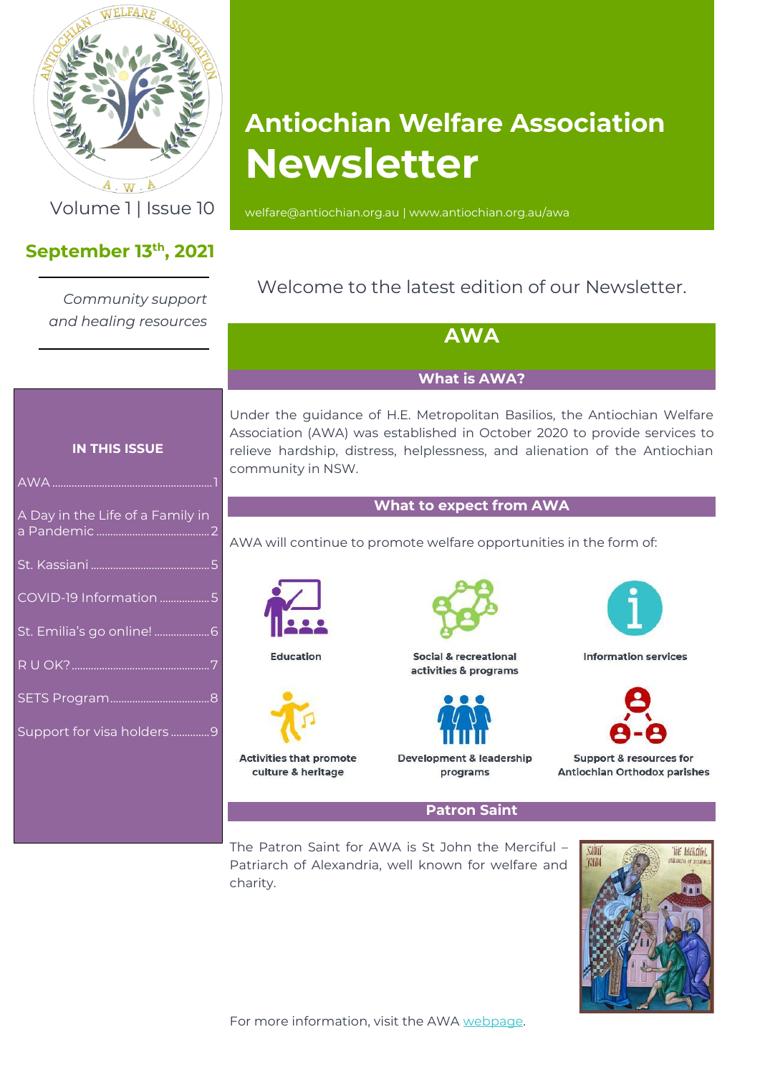

 $\overline{A \cdot W \cdot A}$ 

### **September 13th , 2021**

*Community support and healing resources*

# **Antiochian Welfare Association Newsletter**

Volume 1 | Issue 10 [welfare@antiochian.org.au](mailto:welfare@antiochian.org.au) [| www.antiochian.org.au/awa](http://www.antiochian.org.au/awa)

### <span id="page-0-0"></span>Welcome to the latest edition of our Newsletter.

| and healing resources            | <b>AWA</b>                                                                                                                                                                                                                                              |                                                    |                                                         |
|----------------------------------|---------------------------------------------------------------------------------------------------------------------------------------------------------------------------------------------------------------------------------------------------------|----------------------------------------------------|---------------------------------------------------------|
|                                  | <b>What is AWA?</b>                                                                                                                                                                                                                                     |                                                    |                                                         |
| <b>IN THIS ISSUE</b>             | Under the guidance of H.E. Metropolitan Basilios, the Antiochian Welfare<br>Association (AWA) was established in October 2020 to provide services to<br>relieve hardship, distress, helplessness, and alienation of the Antiochian<br>community in NSW. |                                                    |                                                         |
| A Day in the Life of a Family in | <b>What to expect from AWA</b><br>AWA will continue to promote welfare opportunities in the form of:                                                                                                                                                    |                                                    |                                                         |
|                                  |                                                                                                                                                                                                                                                         |                                                    |                                                         |
| COVID-19 Information 5           |                                                                                                                                                                                                                                                         |                                                    |                                                         |
|                                  | <b>Education</b>                                                                                                                                                                                                                                        | Social & recreational<br>activities & programs     | <b>Information services</b>                             |
|                                  |                                                                                                                                                                                                                                                         |                                                    |                                                         |
| Support for visa holders9        |                                                                                                                                                                                                                                                         |                                                    |                                                         |
|                                  | Activities that promote<br>culture & heritage                                                                                                                                                                                                           | <b>Development &amp; leadership</b><br>programs    | Support & resources for<br>Antiochian Orthodox parishes |
|                                  | <b>Patron Saint</b>                                                                                                                                                                                                                                     |                                                    |                                                         |
|                                  |                                                                                                                                                                                                                                                         | The Patron Saint for AWA is St John the Merciful - | SAINT<br>THE MERCIFUL                                   |

Patriarch of Alexandria, well known for welfare and charity.

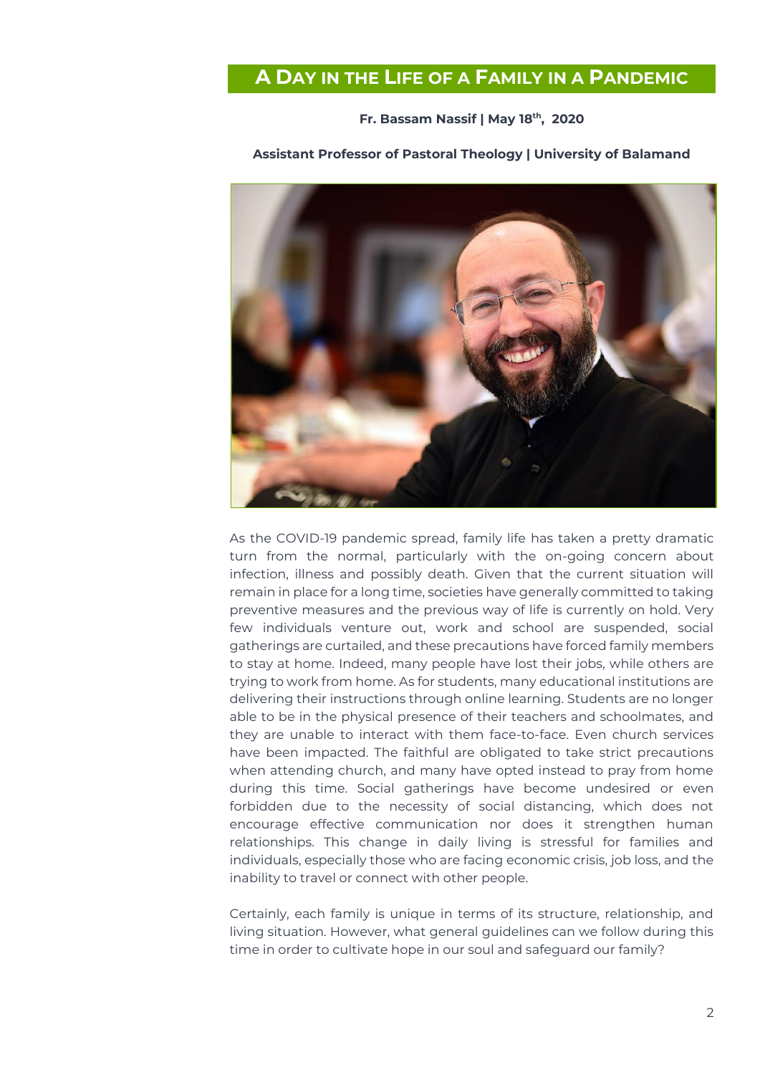### <span id="page-1-0"></span>**A DAY IN THE LIFE OF A FAMILY IN A PANDEMIC**

#### **Fr. Bassam Nassif | May 18th , 2020**



#### **Assistant Professor of Pastoral Theology | University of Balamand**

As the COVID-19 pandemic spread, family life has taken a pretty dramatic turn from the normal, particularly with the on-going concern about infection, illness and possibly death. Given that the current situation will remain in place for a long time, societies have generally committed to taking preventive measures and the previous way of life is currently on hold. Very few individuals venture out, work and school are suspended, social gatherings are curtailed, and these precautions have forced family members to stay at home. Indeed, many people have lost their jobs, while others are trying to work from home. As for students, many educational institutions are delivering their instructions through online learning. Students are no longer able to be in the physical presence of their teachers and schoolmates, and they are unable to interact with them face-to-face. Even church services have been impacted. The faithful are obligated to take strict precautions when attending church, and many have opted instead to pray from home during this time. Social gatherings have become undesired or even forbidden due to the necessity of social distancing, which does not encourage effective communication nor does it strengthen human relationships. This change in daily living is stressful for families and individuals, especially those who are facing economic crisis, job loss, and the inability to travel or connect with other people.

Certainly, each family is unique in terms of its structure, relationship, and living situation. However, what general guidelines can we follow during this time in order to cultivate hope in our soul and safeguard our family?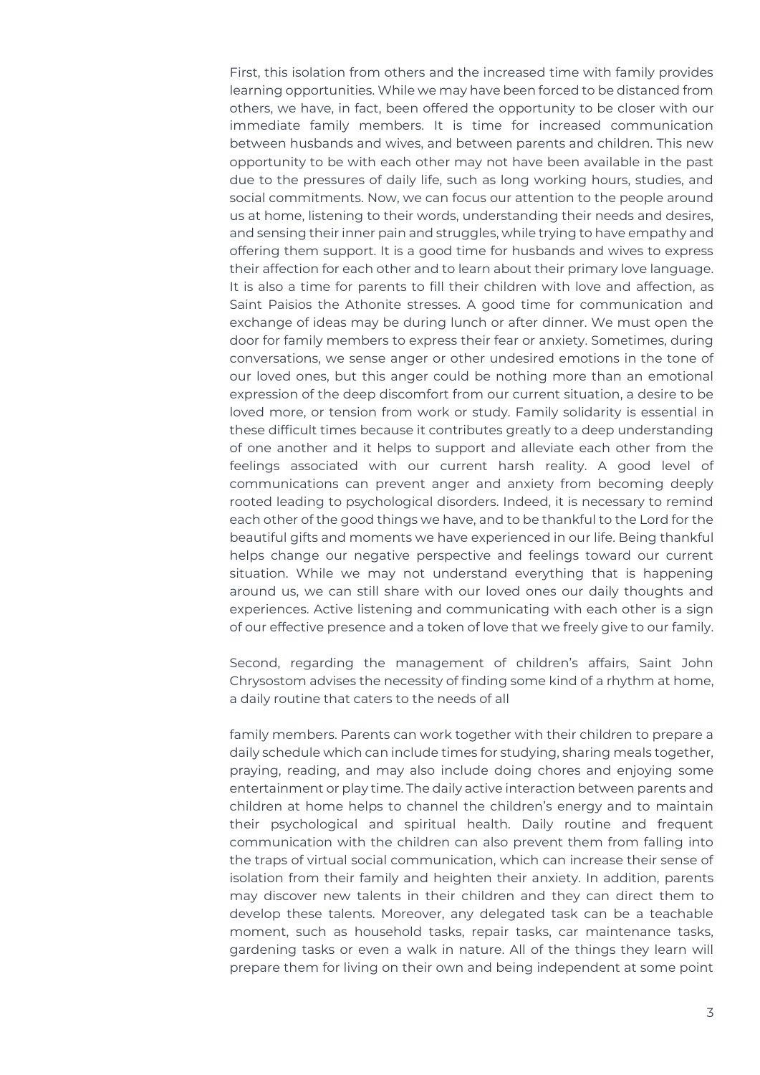First, this isolation from others and the increased time with family provides learning opportunities. While we may have been forced to be distanced from others, we have, in fact, been offered the opportunity to be closer with our immediate family members. It is time for increased communication between husbands and wives, and between parents and children. This new opportunity to be with each other may not have been available in the past due to the pressures of daily life, such as long working hours, studies, and social commitments. Now, we can focus our attention to the people around us at home, listening to their words, understanding their needs and desires, and sensing their inner pain and struggles, while trying to have empathy and offering them support. It is a good time for husbands and wives to express their affection for each other and to learn about their primary love language. It is also a time for parents to fill their children with love and affection, as Saint Paisios the Athonite stresses. A good time for communication and exchange of ideas may be during lunch or after dinner. We must open the door for family members to express their fear or anxiety. Sometimes, during conversations, we sense anger or other undesired emotions in the tone of our loved ones, but this anger could be nothing more than an emotional expression of the deep discomfort from our current situation, a desire to be loved more, or tension from work or study. Family solidarity is essential in these difficult times because it contributes greatly to a deep understanding of one another and it helps to support and alleviate each other from the feelings associated with our current harsh reality. A good level of communications can prevent anger and anxiety from becoming deeply rooted leading to psychological disorders. Indeed, it is necessary to remind each other of the good things we have, and to be thankful to the Lord for the beautiful gifts and moments we have experienced in our life. Being thankful helps change our negative perspective and feelings toward our current situation. While we may not understand everything that is happening around us, we can still share with our loved ones our daily thoughts and experiences. Active listening and communicating with each other is a sign of our effective presence and a token of love that we freely give to our family.

Second, regarding the management of children's affairs, Saint John Chrysostom advises the necessity of finding some kind of a rhythm at home, a daily routine that caters to the needs of all

family members. Parents can work together with their children to prepare a daily schedule which can include times for studying, sharing meals together, praying, reading, and may also include doing chores and enjoying some entertainment or play time. The daily active interaction between parents and children at home helps to channel the children's energy and to maintain their psychological and spiritual health. Daily routine and frequent communication with the children can also prevent them from falling into the traps of virtual social communication, which can increase their sense of isolation from their family and heighten their anxiety. In addition, parents may discover new talents in their children and they can direct them to develop these talents. Moreover, any delegated task can be a teachable moment, such as household tasks, repair tasks, car maintenance tasks, gardening tasks or even a walk in nature. All of the things they learn will prepare them for living on their own and being independent at some point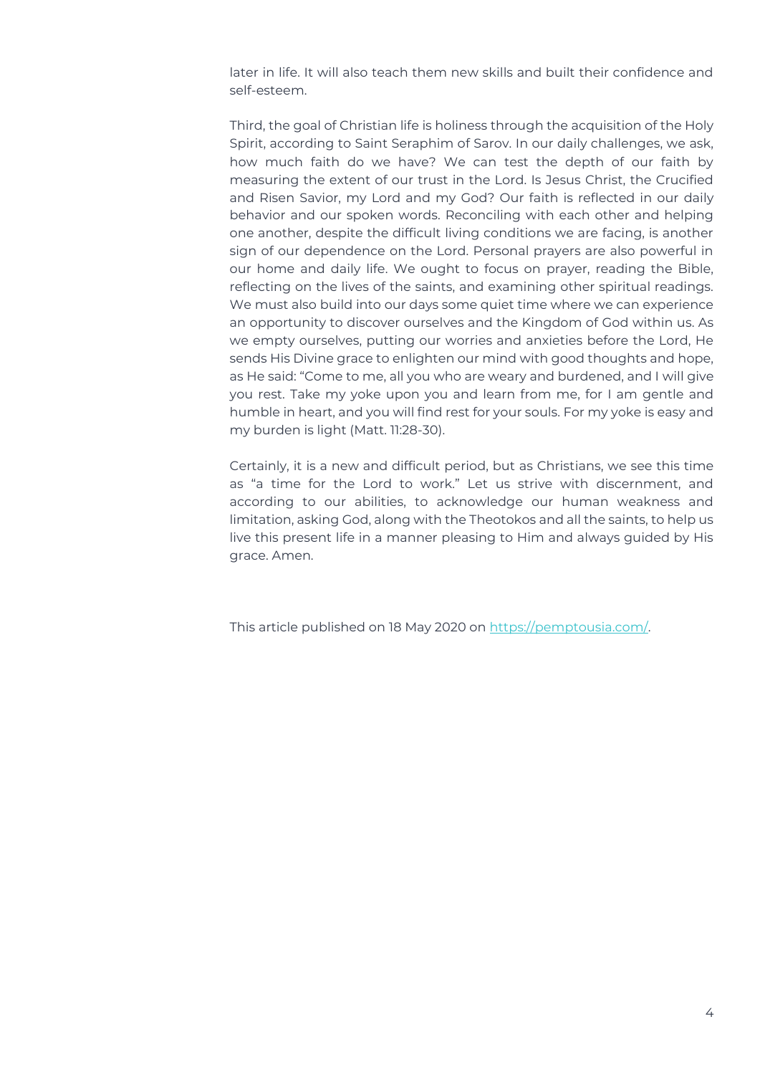later in life. It will also teach them new skills and built their confidence and self-esteem.

Third, the goal of Christian life is holiness through the acquisition of the Holy Spirit, according to Saint Seraphim of Sarov. In our daily challenges, we ask, how much faith do we have? We can test the depth of our faith by measuring the extent of our trust in the Lord. Is Jesus Christ, the Crucified and Risen Savior, my Lord and my God? Our faith is reflected in our daily behavior and our spoken words. Reconciling with each other and helping one another, despite the difficult living conditions we are facing, is another sign of our dependence on the Lord. Personal prayers are also powerful in our home and daily life. We ought to focus on prayer, reading the Bible, reflecting on the lives of the saints, and examining other spiritual readings. We must also build into our days some quiet time where we can experience an opportunity to discover ourselves and the Kingdom of God within us. As we empty ourselves, putting our worries and anxieties before the Lord, He sends His Divine grace to enlighten our mind with good thoughts and hope, as He said: "Come to me, all you who are weary and burdened, and I will give you rest. Take my yoke upon you and learn from me, for I am gentle and humble in heart, and you will find rest for your souls. For my yoke is easy and my burden is light (Matt. 11:28-30).

Certainly, it is a new and difficult period, but as Christians, we see this time as "a time for the Lord to work." Let us strive with discernment, and according to our abilities, to acknowledge our human weakness and limitation, asking God, along with the Theotokos and all the saints, to help us live this present life in a manner pleasing to Him and always guided by His grace. Amen.

This article published on 18 May 2020 on [https://pemptousia.com/.](https://pemptousia.com/)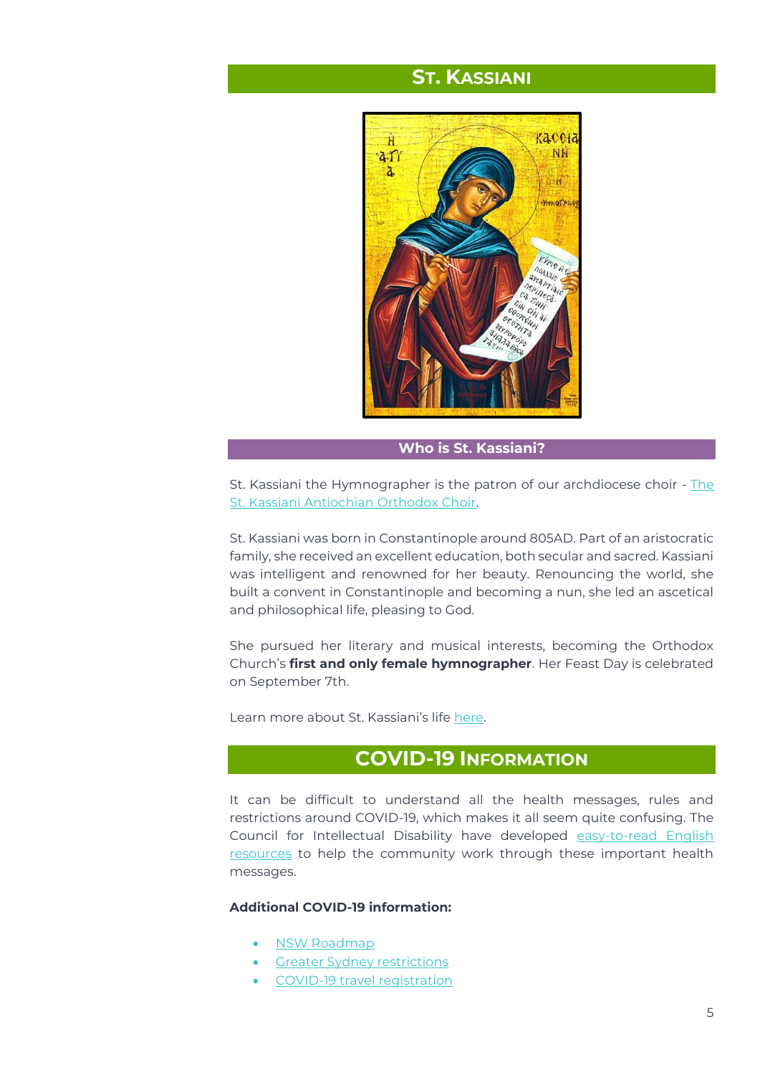### **ST. KASSIANI**

<span id="page-4-0"></span>

**Who is St. Kassiani?**

St. Kassiani the Hymnographer is the patron of our archdiocese choir - [The](https://www.antiochian.org.au/departments/choir/)  [St. Kassiani Antiochian Orthodox Choir.](https://www.antiochian.org.au/departments/choir/)

St. Kassiani was born in Constantinople around 805AD. Part of an aristocratic family, she received an excellent education, both secular and sacred. Kassiani was intelligent and renowned for her beauty. Renouncing the world, she built a convent in Constantinople and becoming a nun, she led an ascetical and philosophical life, pleasing to God.

She pursued her literary and musical interests, becoming the Orthodox Church's **first and only female hymnographer**. Her Feast Day is celebrated on September 7th.

<span id="page-4-1"></span>Learn more about St. Kassiani's life [here.](https://www.antiochian.org.au/departments/choir/saint-kassiani-the-hymnographer/)

### **COVID-19 INFORMATION**

It can be difficult to understand all the health messages, rules and restrictions around COVID-19, which makes it all seem quite confusing. The Council for Intellectual Disability have developed [easy-to-read English](https://cid.org.au/story-tag/easy-read/)  [resources](https://cid.org.au/story-tag/easy-read/) to help the community work through these important health messages.

#### **Additional COVID-19 information:**

- [NSW Roadmap](https://www.nsw.gov.au/media-releases/roadmap-to-freedom-unveiled-for-fully-vaccinated)
- [Greater Sydney restrictions](https://www.nsw.gov.au/covid-19/rules/greater-sydney)
- [COVID-19 travel registration](https://www.nsw.gov.au/covid-19/rules/travel-registration)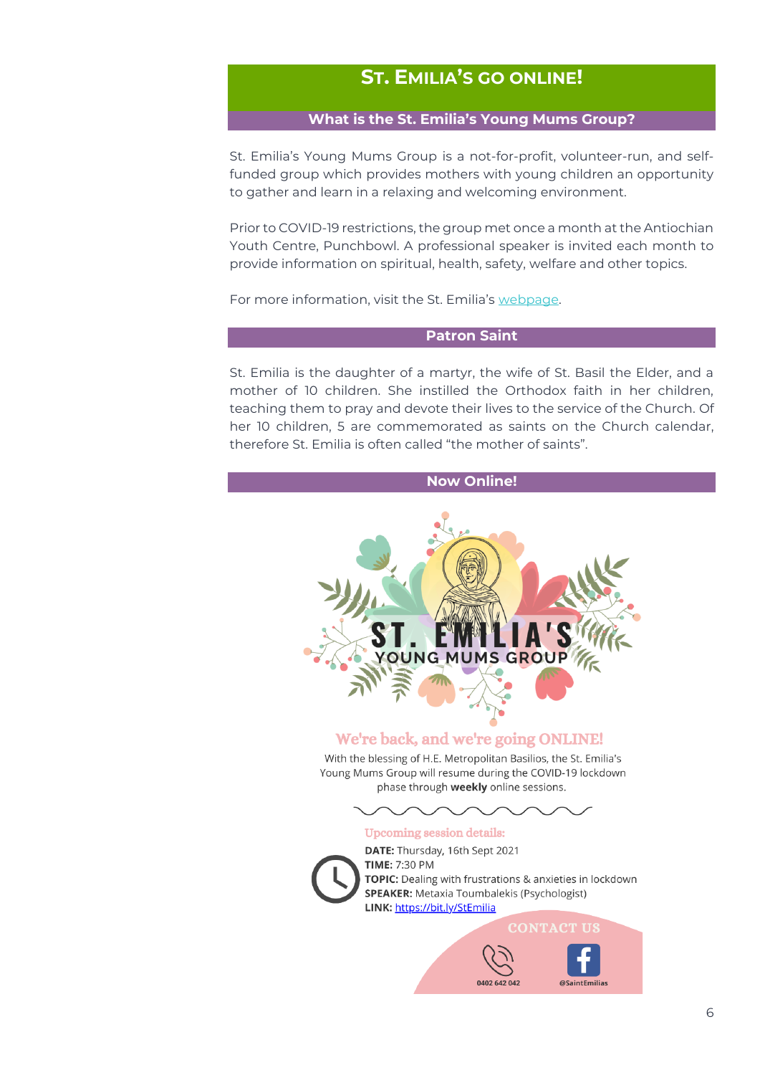### <span id="page-5-0"></span>**ST. EMILIA'S GO ONLINE!**

#### **What is the St. Emilia's Young Mums Group?**

St. Emilia's Young Mums Group is a not-for-profit, volunteer-run, and selffunded group which provides mothers with young children an opportunity to gather and learn in a relaxing and welcoming environment.

Prior to COVID-19 restrictions, the group met once a month at the Antiochian Youth Centre, Punchbowl. A professional speaker is invited each month to provide information on spiritual, health, safety, welfare and other topics.

For more information, visit the St. Emilia's [webpage.](https://www.antiochian.org.au/departments/st-emilias/) 

#### **Patron Saint**

St. Emilia is the daughter of a martyr, the wife of St. Basil the Elder, and a mother of 10 children. She instilled the Orthodox faith in her children, teaching them to pray and devote their lives to the service of the Church. Of her 10 children, 5 are commemorated as saints on the Church calendar, therefore St. Emilia is often called "the mother of saints".

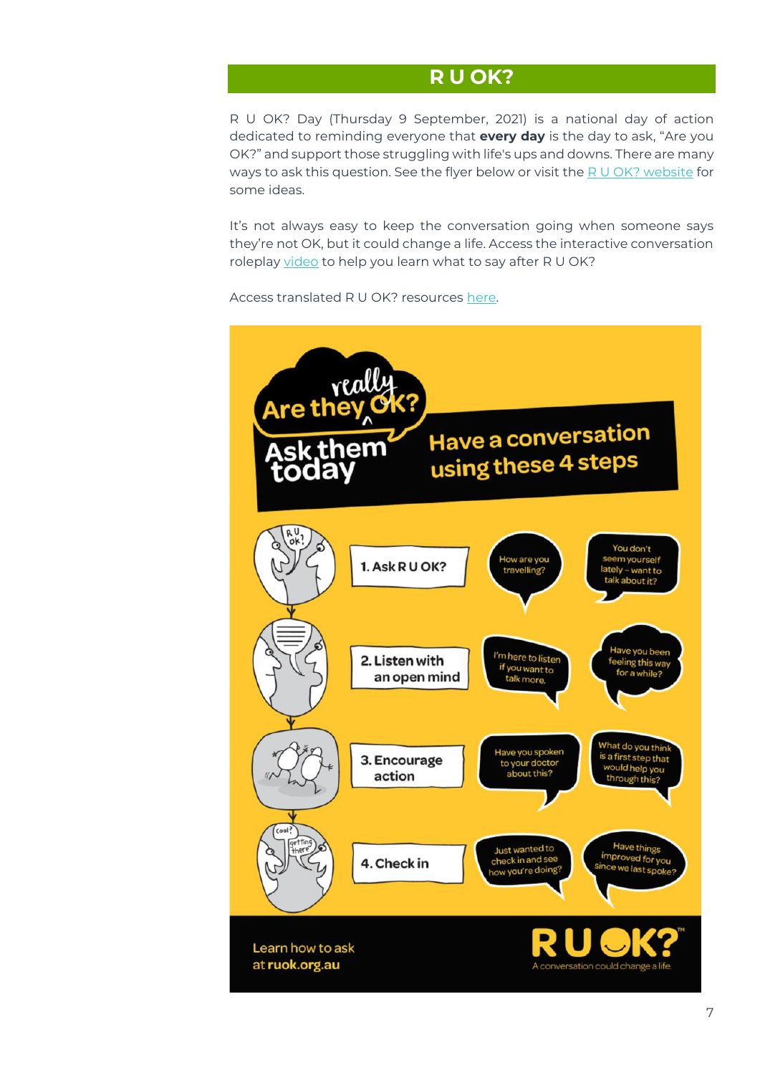### **R U OK?**

<span id="page-6-0"></span>R U OK? Day (Thursday 9 September, 2021) is a national day of action dedicated to reminding everyone that **every day** is the day to ask, "Are you OK?" and support those struggling with life's ups and downs. There are many ways to ask this question. See the flyer below or visit the  $R U OK$ ? website for some ideas.

It's not always easy to keep the conversation going when someone says they're not OK, but it could change a life. Access the interactive conversation roleplay [video](https://www.ruok.org.au/how-to-ask) to help you learn what to say after R U OK?

Access translated R U OK? resources [here.](https://www.ruok.org.au/other-languages) 

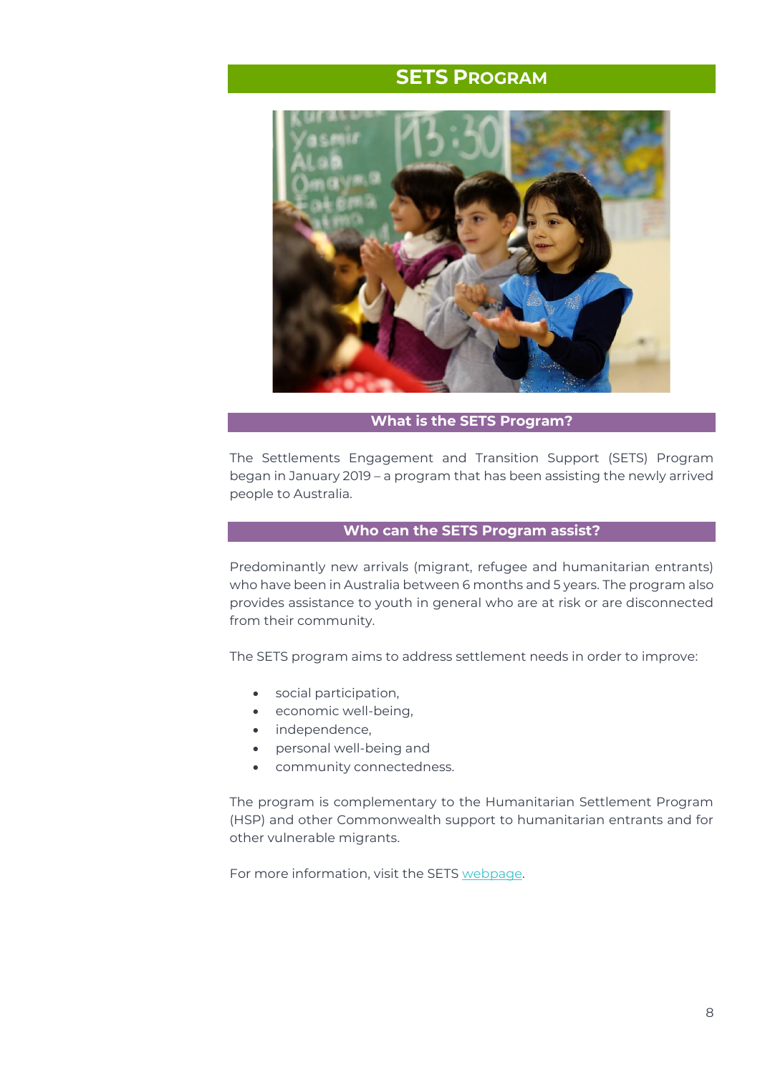### **SETS PROGRAM**

<span id="page-7-0"></span>

#### **What is the SETS Program?**

The Settlements Engagement and Transition Support (SETS) Program began in January 2019 – a program that has been assisting the newly arrived people to Australia.

#### **Who can the SETS Program assist?**

Predominantly new arrivals (migrant, refugee and humanitarian entrants) who have been in Australia between 6 months and 5 years. The program also provides assistance to youth in general who are at risk or are disconnected from their community.

The SETS program aims to address settlement needs in order to improve:

- social participation,
- economic well-being,
- independence,
- personal well-being and
- community connectedness.

The program is complementary to the Humanitarian Settlement Program (HSP) and other Commonwealth support to humanitarian entrants and for other vulnerable migrants.

For more information, visit the SETS [webpage.](https://www.antiochian.org.au/charities/project-sets/)